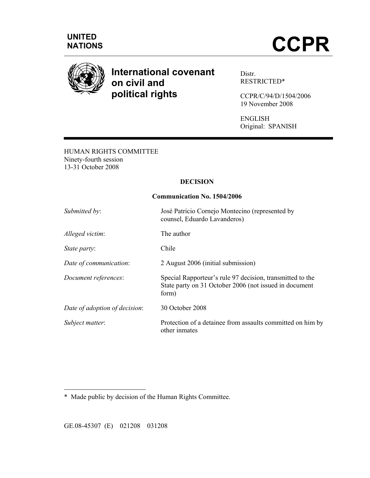

# **International covenant on civil and political rights**

Distr. RESTRICTED\*

CCPR/C/94/D/1504/2006 19 November 2008

ENGLISH Original: SPANISH

HUMAN RIGHTS COMMITTEE Ninety-fourth session 13-31 October 2008

## **DECISION**

#### **Communication No. 1504/2006**

| Submitted by:                 | José Patricio Cornejo Montecino (represented by<br>counsel, Eduardo Lavanderos)                                              |
|-------------------------------|------------------------------------------------------------------------------------------------------------------------------|
| Alleged victim:               | The author                                                                                                                   |
| State party:                  | Chile                                                                                                                        |
| Date of communication:        | 2 August 2006 (initial submission)                                                                                           |
| Document references:          | Special Rapporteur's rule 97 decision, transmitted to the<br>State party on 31 October 2006 (not issued in document<br>form) |
| Date of adoption of decision: | 30 October 2008                                                                                                              |
| Subject matter:               | Protection of a detainee from assaults committed on him by<br>other inmates                                                  |

\* Made public by decision of the Human Rights Committee.

GE.08-45307 (E) 021208 031208

 $\overline{a}$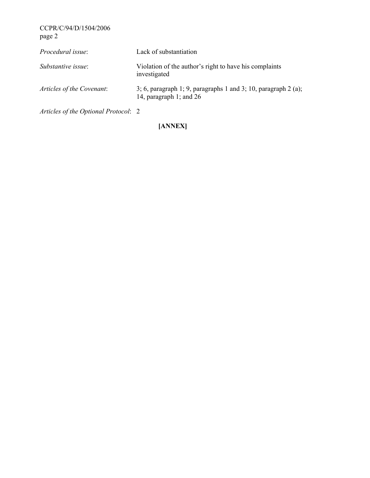CCPR/C/94/D/1504/2006 page 2

| <i>Procedural issue:</i>  | Lack of substantiation                                                                      |
|---------------------------|---------------------------------------------------------------------------------------------|
| Substantive issue:        | Violation of the author's right to have his complaints<br>investigated                      |
| Articles of the Covenant: | 3; 6, paragraph 1; 9, paragraphs 1 and 3; 10, paragraph 2 (a);<br>14, paragraph 1; and $26$ |

*Articles of the Optional Protocol*: 2

## **[ANNEX]**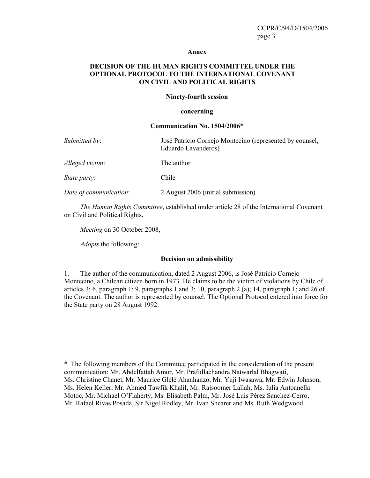#### **Annex**

## **DECISION OF THE HUMAN RIGHTS COMMITTEE UNDER THE OPTIONAL PROTOCOL TO THE INTERNATIONAL COVENANT ON CIVIL AND POLITICAL RIGHTS**

#### **Ninety-fourth session**

#### **concerning**

#### **Communication No. 1504/2006**\*

| Submitted by:          | José Patricio Cornejo Montecino (represented by counsel,<br>Eduardo Lavanderos) |
|------------------------|---------------------------------------------------------------------------------|
| Alleged victim:        | The author                                                                      |
| <i>State party:</i>    | Chile                                                                           |
| Date of communication: | 2 August 2006 (initial submission)                                              |

 *The Human Rights Committee*, established under article 28 of the International Covenant on Civil and Political Rights,

 *Meeting* on 30 October 2008,

 *Adopts* the following:

 $\overline{a}$ 

#### **Decision on admissibility**

1. The author of the communication, dated 2 August 2006, is José Patricio Cornejo Montecino, a Chilean citizen born in 1973. He claims to be the victim of violations by Chile of articles 3; 6, paragraph 1; 9, paragraphs 1 and 3; 10, paragraph 2 (a); 14, paragraph 1; and 26 of the Covenant. The author is represented by counsel. The Optional Protocol entered into force for the State party on 28 August 1992.

<sup>\*</sup> The following members of the Committee participated in the consideration of the present communication: Mr. Abdelfattah Amor, Mr. Prafullachandra Natwarlal Bhagwati, Ms. Christine Chanet, Mr. Maurice Glèlè Ahanhanzo, Mr. Yuji Iwasawa, Mr. Edwin Johnson, Ms. Helen Keller, Mr. Ahmed Tawfik Khalil, Mr. Rajsoomer Lallah, Ms. Iulia Antoanella Motoc, Mr. Michael O'Flaherty, Ms. Elisabeth Palm, Mr. José Luis Pérez Sanchez-Cerro, Mr. Rafael Rivas Posada, Sir Nigel Rodley, Mr. Ivan Shearer and Ms. Ruth Wedgwood.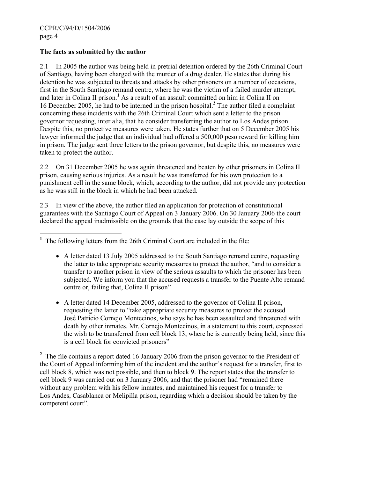## **The facts as submitted by the author**

2.1 In 2005 the author was being held in pretrial detention ordered by the 26th Criminal Court of Santiago, having been charged with the murder of a drug dealer. He states that during his detention he was subjected to threats and attacks by other prisoners on a number of occasions, first in the South Santiago remand centre, where he was the victim of a failed murder attempt, and later in Colina II prison.**<sup>1</sup>** As a result of an assault committed on him in Colina II on 16 December 2005, he had to be interned in the prison hospital.**<sup>2</sup>** The author filed a complaint concerning these incidents with the 26th Criminal Court which sent a letter to the prison governor requesting, inter alia, that he consider transferring the author to Los Andes prison. Despite this, no protective measures were taken. He states further that on 5 December 2005 his lawyer informed the judge that an individual had offered a 500,000 peso reward for killing him in prison. The judge sent three letters to the prison governor, but despite this, no measures were taken to protect the author.

2.2 On 31 December 2005 he was again threatened and beaten by other prisoners in Colina II prison, causing serious injuries. As a result he was transferred for his own protection to a punishment cell in the same block, which, according to the author, did not provide any protection as he was still in the block in which he had been attacked.

2.3 In view of the above, the author filed an application for protection of constitutional guarantees with the Santiago Court of Appeal on 3 January 2006. On 30 January 2006 the court declared the appeal inadmissible on the grounds that the case lay outside the scope of this

- A letter dated 13 July 2005 addressed to the South Santiago remand centre, requesting the latter to take appropriate security measures to protect the author, "and to consider a transfer to another prison in view of the serious assaults to which the prisoner has been subjected. We inform you that the accused requests a transfer to the Puente Alto remand centre or, failing that, Colina II prison"
- A letter dated 14 December 2005, addressed to the governor of Colina II prison, requesting the latter to "take appropriate security measures to protect the accused José Patricio Cornejo Montecinos, who says he has been assaulted and threatened with death by other inmates. Mr. Cornejo Montecinos, in a statement to this court, expressed the wish to be transferred from cell block 13, where he is currently being held, since this is a cell block for convicted prisoners"

<sup>2</sup> The file contains a report dated 16 January 2006 from the prison governor to the President of the Court of Appeal informing him of the incident and the author's request for a transfer, first to cell block 8, which was not possible, and then to block 9. The report states that the transfer to cell block 9 was carried out on 3 January 2006, and that the prisoner had "remained there without any problem with his fellow inmates, and maintained his request for a transfer to Los Andes, Casablanca or Melipilla prison, regarding which a decision should be taken by the competent court".

 **1** The following letters from the 26th Criminal Court are included in the file: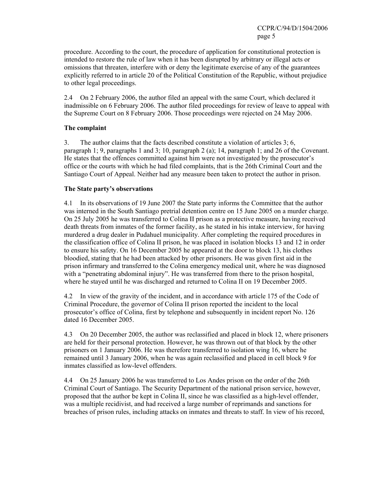procedure. According to the court, the procedure of application for constitutional protection is intended to restore the rule of law when it has been disrupted by arbitrary or illegal acts or omissions that threaten, interfere with or deny the legitimate exercise of any of the guarantees explicitly referred to in article 20 of the Political Constitution of the Republic, without prejudice to other legal proceedings.

2.4 On 2 February 2006, the author filed an appeal with the same Court, which declared it inadmissible on 6 February 2006. The author filed proceedings for review of leave to appeal with the Supreme Court on 8 February 2006. Those proceedings were rejected on 24 May 2006.

## **The complaint**

3. The author claims that the facts described constitute a violation of articles 3; 6, paragraph 1; 9, paragraphs 1 and 3; 10, paragraph 2 (a); 14, paragraph 1; and 26 of the Covenant. He states that the offences committed against him were not investigated by the prosecutor's office or the courts with which he had filed complaints, that is the 26th Criminal Court and the Santiago Court of Appeal. Neither had any measure been taken to protect the author in prison.

## **The State party's observations**

4.1 In its observations of 19 June 2007 the State party informs the Committee that the author was interned in the South Santiago pretrial detention centre on 15 June 2005 on a murder charge. On 25 July 2005 he was transferred to Colina II prison as a protective measure, having received death threats from inmates of the former facility, as he stated in his intake interview, for having murdered a drug dealer in Pudahuel municipality. After completing the required procedures in the classification office of Colina II prison, he was placed in isolation blocks 13 and 12 in order to ensure his safety. On 16 December 2005 he appeared at the door to block 13, his clothes bloodied, stating that he had been attacked by other prisoners. He was given first aid in the prison infirmary and transferred to the Colina emergency medical unit, where he was diagnosed with a "penetrating abdominal injury". He was transferred from there to the prison hospital, where he stayed until he was discharged and returned to Colina II on 19 December 2005.

4.2 In view of the gravity of the incident, and in accordance with article 175 of the Code of Criminal Procedure, the governor of Colina II prison reported the incident to the local prosecutor's office of Colina, first by telephone and subsequently in incident report No. 126 dated 16 December 2005.

4.3 On 20 December 2005, the author was reclassified and placed in block 12, where prisoners are held for their personal protection. However, he was thrown out of that block by the other prisoners on 1 January 2006. He was therefore transferred to isolation wing 16, where he remained until 3 January 2006, when he was again reclassified and placed in cell block 9 for inmates classified as low-level offenders.

4.4 On 25 January 2006 he was transferred to Los Andes prison on the order of the 26th Criminal Court of Santiago. The Security Department of the national prison service, however, proposed that the author be kept in Colina II, since he was classified as a high-level offender, was a multiple recidivist, and had received a large number of reprimands and sanctions for breaches of prison rules, including attacks on inmates and threats to staff. In view of his record,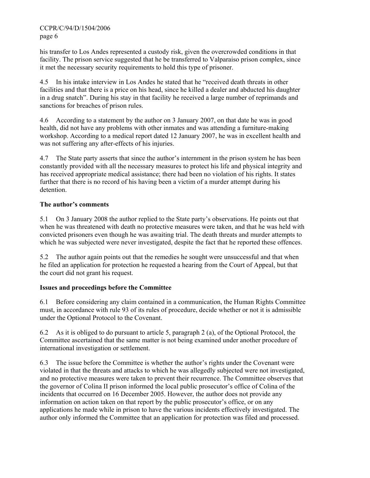CCPR/C/94/D/1504/2006 page 6

his transfer to Los Andes represented a custody risk, given the overcrowded conditions in that facility. The prison service suggested that he be transferred to Valparaiso prison complex, since it met the necessary security requirements to hold this type of prisoner.

4.5 In his intake interview in Los Andes he stated that he "received death threats in other facilities and that there is a price on his head, since he killed a dealer and abducted his daughter in a drug snatch". During his stay in that facility he received a large number of reprimands and sanctions for breaches of prison rules.

4.6 According to a statement by the author on 3 January 2007, on that date he was in good health, did not have any problems with other inmates and was attending a furniture-making workshop. According to a medical report dated 12 January 2007, he was in excellent health and was not suffering any after-effects of his injuries.

4.7 The State party asserts that since the author's internment in the prison system he has been constantly provided with all the necessary measures to protect his life and physical integrity and has received appropriate medical assistance; there had been no violation of his rights. It states further that there is no record of his having been a victim of a murder attempt during his detention.

## **The author's comments**

5.1 On 3 January 2008 the author replied to the State party's observations. He points out that when he was threatened with death no protective measures were taken, and that he was held with convicted prisoners even though he was awaiting trial. The death threats and murder attempts to which he was subjected were never investigated, despite the fact that he reported these offences.

5.2 The author again points out that the remedies he sought were unsuccessful and that when he filed an application for protection he requested a hearing from the Court of Appeal, but that the court did not grant his request.

## **Issues and proceedings before the Committee**

6.1 Before considering any claim contained in a communication, the Human Rights Committee must, in accordance with rule 93 of its rules of procedure, decide whether or not it is admissible under the Optional Protocol to the Covenant.

6.2 As it is obliged to do pursuant to article 5, paragraph 2 (a), of the Optional Protocol, the Committee ascertained that the same matter is not being examined under another procedure of international investigation or settlement.

6.3 The issue before the Committee is whether the author's rights under the Covenant were violated in that the threats and attacks to which he was allegedly subjected were not investigated, and no protective measures were taken to prevent their recurrence. The Committee observes that the governor of Colina II prison informed the local public prosecutor's office of Colina of the incidents that occurred on 16 December 2005. However, the author does not provide any information on action taken on that report by the public prosecutor's office, or on any applications he made while in prison to have the various incidents effectively investigated. The author only informed the Committee that an application for protection was filed and processed.